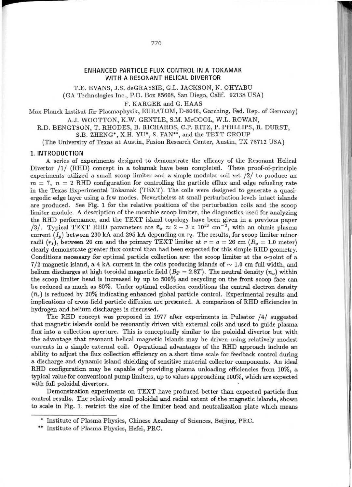# ENHANCED PARTICLE FLUX CONTROL IN A TOKAMAK WITH A RESONANT HELICAL DIVERTOR

T.E. EVANS, J.S. deGRASSIE, G.L. JACKSON, N. OHYABU

(GA Technologies Inc., P.O. Box 85608, San Diego, Calif. 92138 USA)

F. KARGER and G. HAAS

Max-Planck-Institut für Plasmaphysik, EURATOM, D-8046, Garching, Fed. Rep. of Germany) A.J. WQOTTON, K.W. GENTLE, S.M. McCOOL, W.L. ROWAN,

R.D. BENGTSON, T. RHODES, B. RICHARDS, C.P. RITZ, P. PHILLIPS, R. DURST,

S.B. ZHENG<sup>\*</sup>, X.H. YU<sup>\*</sup>, S. FAN<sup>\*\*</sup>, and the TEXT GROUP

(The University of Texas at Austin, Fusion Research Center, Austin, TX 78712 USA)

## I. INT RODUCTION

**r** 

A series of experiments designed to demonstrate the efficacy of the Resonant Helical Divertor /1/ (RHO) concept in a tokamak have been completed. These proof-of-principle experiments utilized a small scoop limiter and a simple modular coil set /2/ to produce an  $m = 7$ ,  $n = 2$  RHD configuration for controlling the particle efflux and edge refueling rate in the Texas Experimental Tokamak (TEXT). The coils were designed to generate a quasiergodic edge layer using a few modes. Nevertheless at small perturbation levels intact islands are produced. See Fig. 1 for the relative positions of the perturbation coils and the scoop limiter module. A description of the movable scoop limiter, the diagnostics used for analyzing the RHD performance, and the TEXT island topology have been given in a previous paper /3/. Typical TEXT RHD parameters are  $\bar{n}_e \approx 2 - 3 \times 10^{13}$  cm<sup>-3</sup>, with an ohmic plasma current  $(I_p)$  between 230 kA and 295 kA depending on  $r_t$ . The results, for scoop limiter minor radii  $(r<sub>i</sub>)$ , between 20 cm and the primary TEXT limiter at  $r = a = 26$  cm  $(R<sub>o</sub> = 1.0$  meter) clearly demonstrate greater flux control than had been expected for this simple RHD geometry. Conditions necessary for optimal particle collection are: the scoop limiter at the o-point of a  $7/2$  magnetic island, a 4 kA current in the coils producing islands of  $\sim 1.0$  cm full width, and helium discharges at high toroidal magnetic field  $(B_T = 2.8T)$ . The neutral density  $(n_o)$  within the scoop limiter head is increased by up to 500% and recycling on the front scoop face can be reduced as much as 80%. Under optimal collection conditions the central electron density  $(\bar{n}_e)$  is reduced by 20% indicating enhanced global particle control. Experimental results and implications of cross-field particle diffusion are presented. A comparison of RHD efficiencies in hydrogen and helium discharges is discussed.

The RHD concept was proposed in 1977 after experiments in Pulsator /4/ suggested that magnetic islands could be resonantly driven with external coils and used to guide plasma flux into a collection aperture. This is conceptually similar to the poloidal divertor but with the advantage that resonant helical magnetic islands may be driven using relatively modest currents in a simple external coil. Operational advantages of the RHD approach include an ability to adjust the flux collection efficiency on a short time scale for feedback control during a discharge and dynamic island shielding of sensitive material collector components. An ideal RHD configuration may be capable of providing plasma unloading efficiencies from 10%, a typical value for conventional pump lirniters, up to values approaching 100%, which are expected with full poloidal divertors.

Demonstration experiments on TEXT have produced better than expected particle flux control results. The relatively small poloidal and radial extent of the magnetic islands, shown to scale in Fig. 1, restrict the size of the limiter head and neutralization plate which means

<sup>\*</sup> Institute of Plasma Physics, Chinese Academy of Sciences, Beijing, PRC.

<sup>\*\*</sup> Institute of Plasma Physics, Hefei, PRC.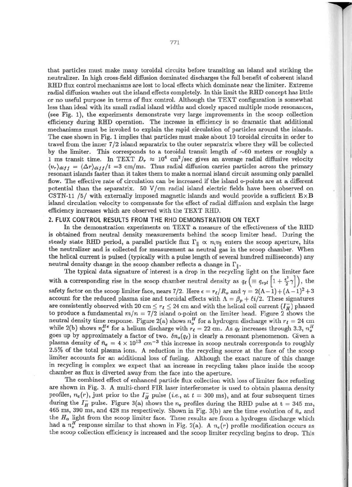that particles must make many toroidal circuits before transiting an island and striking the neutralizer. In high cross-field diffusion dominated discharges the full benefit of coherent island RHD flux control mechanisms are lost to local effects which dominate near the limiter. Extreme raclial diffusion washes out the island effects completely. In this limit the RHD concept has little or no useful purpose in terms of flux control. Although the TEXT configuration is somewhat less than ideal with its small radial island widths and closely spaced multiple mode resonances, (see Fig. 1), the experiments demonstrate very large improvements in the scoop collection efficiency during RllD operation. The increase in efficiency is so dramatic that additional mechanisms must be invoked to explain the rapid circulation of particles around the islands. The case shown in Fig. 1 implies that particles must make about 10 toroidal circuits in order to travel from the inner 7/2 island separatrix to the outer separatrix where they will be collected by the limiter. This corresponds to a toroidal transit length of  $~60$  meters or roughly a 1 ms transit time. In TEXT  $D_r \approx 10^4$  cm<sup>2</sup>/sec gives an average radial diffusive velocity  $\langle v_r \rangle_{diff} = \langle \Delta r \rangle_{diff}/t = 3$  cm/ms. Thus radial diffusion carries particles across the primary resonant islands faster than it takes them to make a normal island circuit assuming only parallel flow. The effective rate of circulation can be increased if the island o-points are at a different potential than the separatrix. 50 V/cm radial island electric fields have been observed on CSTN-11 /5/ with externally imposed magnetic islands and would provide a sufficient  $E \times B$ island circulation velocity to compensate for the effect of radial diffusion and explain the large efficiency increases which are observed with the TEXT RHO.

## 2. FlUX CONTROL RESULTS FROM THE RHD DEMONSTRATION ON TEXT

In the demonstration experiments on TEXT a measure of the effectiveness of the RHD is obtained from neutral density measurements behind the scoop limiter head. During the steady state RHD period, a parallel particle flux  $\Gamma_{\parallel} \propto n_i v_{\parallel}$  enters the scoop aperture, hits the neutralizer and is collected for measurement as neutral gas in the scoop chamber. When the helical current is pulsed (typically with a pulse length of several hundred milliseconds) any neutral density change in the scoop chamber reflects a change in  $\Gamma_{\parallel}$ .

The typical data signature of interest is a drop in the recycling light on the limiter face with a corresponding rise in the scoop chamber neutral density as  $q_{\ell} \left( \equiv q_{cyl} \left| 1 + \frac{\epsilon^2}{2} \gamma \right| \right)$ , the safety factor on the scoop limiter face, nears 7/2. Here  $\epsilon = r_{\ell}/R_o$  and  $\gamma = 2(\Lambda - 1) + (\Lambda - 1)^2 + 3$ account for the reduced plasma size and toroidal effects with  $\Lambda = \beta_p + \ell i/2$ . These signatures are consistently observed with 20 cm  $\leq r_{\mathcal{U}} \leq 24$  cm and with the helical coil current  $(I_H^-)$  phased to produce a fundamental  $m/n = 7/2$  island o-point on the limiter head. Figure 2 shows the neutral density time response. Figure 2(a) shows  $n_{o}^{H}$  for a hydrogen discharge with  $r_{\ell} = 24$  cm while 2(b) shows  $n_e^{He}$  for a helium discharge with  $r_t = 22$  cm. As  $q_t$  increases through 3.3,  $n_o^{H}$ goes up by approximately a factor of two.  $\delta n_o(q_t)$  is clearly a resonant phenomenon. Given a plasma density of  $\bar{n}_e = 4 \times 10^{13}$  cm<sup>-3</sup> this increase in scoop neutrals corresponds to roughly 2.5% of the total plasma ions. A reduction in the recycling source at the face of the scoop limiter accounts for an additional loss of fueling. Although the exact nature of this change in recycling is complex we expect that an increase in recycling takes place inside the scoop chamber as flux is diverted away from the face into the aperture.

The combined effect of enhanced particle flux collection with loss of limiter face refueling are shown in Fig. 3. A multi-chord FIR laser interferometer is used to obtain plasma density profiles,  $n_e(r)$ , just prior to the  $I_H^-$  pulse (*i.e.*, at  $t = 300$  ms), and at four subsequent times during the  $I_{\overline{H}}$  pulse. Figure 3(a) shows the  $n_e$  profiles during the RHD pulse at  $t = 345$  ms, 465 ms, 390 ms, and 428 ms respectively. Shown in Fig. 3(b) are the time evolution of  $\bar{n}_e$  and the  $H_{\alpha}$  light from the scoop limiter face. These results are from a hydrogen discharge which had a  $n_o^H$  response similar to that shown in Fig. 2(a). A  $n_e(r)$  profile modification occurs as the scoop collection efficiency is increased and the scoop limiter recycling begins to drop. This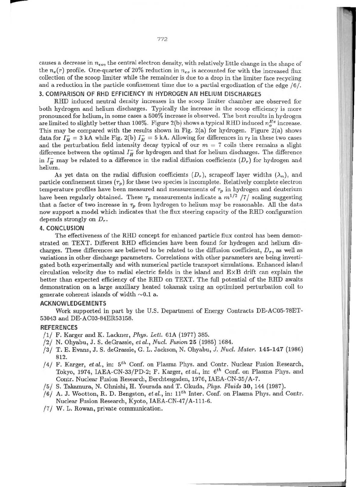causes a decrease in  $n_{eo}$ , the central electron density, with relatively little change in the shape of the  $n_e(r)$  profile. One-quarter of 20% reduction in  $n_{eo}$  is accounted for with the increased flux collection of the scoop limiter while the remainder is due to a drop in the limiter face recycling and a reduction in the particle confinement time due to a partial ergodization of the edge  $/6/$ .

# 3. COMPARISON OF RHO EFFICIENCY IN HYDROGEN AN HELIUM DISCHARGES

RHD induced neutral density increases in the scoop limiter chamber are observed for both hydrogen and heliwn discharges. Typically the increase in the scoop efficiency is more pronounced for heliwn, in some cases a 500% increase is observed. The best results in hydrogen are limited to slightly better than 100%. Figure 2(b) shows a typical RHD induced  $n_a^{\text{He}}$  increase. This may be compared with the results shown in Fig. 2(a) for hydrogen. Figure 2(a) shows data for  $I_H = 3$  kA while Fig. 2(b)  $I_H = 5$  kA. Allowing for differences in  $r_\ell$  in these two cases and the perturbation field intensity decay typical of our  $m = 7$  coils there remains a slight difference between the optimal  $I<sub>H</sub><sup>-</sup>$  for hydrogen and that for helium discharges. The difference in  $I_{\rm H}$  may be related to a difference in the radial diffusion coefficients  $(D_{\rm r})$  for hydrogen and helimn.

As yet data on the radial diffusion coefficients  $(D_r)$ , scrapeoff layer widths  $(\lambda_n)$ , and particle confinement times  $(\tau_p)$  for these two species is incomplete. Relatively complete electron temperature profiles have been measured and measurements of  $\tau_p$  in hydrogen and deuterium have been regularly obtained. These  $\tau_p$  measurements indicate a  $m^{1/2}$  /7/ scaling suggesting that a factor of two increase in  $\tau_p$  from hydrogen to helium may be reasonable. All the data now support a model which indicates that the flux steering capacity of the RHD configuration depends strongly on *Dr.* 

#### 4. CONCLUSION

The effectiveness of the RHO concept for enhanced particle flux control has been demonstrated on TEXT. Different RHD efficiencies have been found for hydrogen and helium discharges. These differences are believed to be related to the diffusion coefficient,  $D_r$ , as well as variations in other discharge parameters. Correlations with other parameters are being investigated both experimentally and with nwnerical particle transport simulations. Enhanced island circulation velocity due to radial electric fields in the island and  $E \times B$  drift can explain the better than expected efficiency of the RHD on TEXT. The full potential of the RHD awaits demonstration on a large auxiliary heated tokamak using an optimized perturbation coil to generate coherent islands of width  $\sim 0.1$  a.

# ACKNOWLEDGEMENTS

Work supported in part by the *V.S.* Department of Energy Contracts DE-AC05-78ET-53043 and DE-AC03-84ER53158.

## REFERENCES

- /1/ F. Karger and K. Lackner, *Phys. Lelt.* 61A (1977) 385.
- /2/ N. Ohyabu, J. S. deGrassie, *et* al., *Nud. Fusion* 25 (1985) 1684.
- /3/ T. E. Evans, J. S. deGrassie, G. L. J ackson, N. Ohyabu, J. *Nud. Mater.* 145-147 (1986) 812.
- /4/ F. Karger, et al., in: 5<sup>th</sup> Conf. on Plasma Phys. and Contr. Nuclear Fusion Research, Tokyo, 1974, IAEA-CN-33/PD-2; F. Karger, *et al.*, in: 6<sup>th</sup> Conf. on Plasma Phys. and Contr. Nuclear FUsion Research, Berchtesgaden, 1976, IAEA-CN-35/A-7.
- / 5/ S. Takamura, N. Ohnishi, H. Yourada and T. Okuda, *Phys. Fluids* 30, 144 {1987}.
- /6/ A. J. Wootton, R. D. Bengston, *et al.*, in:  $11^{th}$  Inter. Conf. on Plasma Phys. and Contr. Nuclear Fusion Research, Kyoto, lAEA-CN-47/ A-11l-6.
- /7/ W. L. Rowan, private communication.